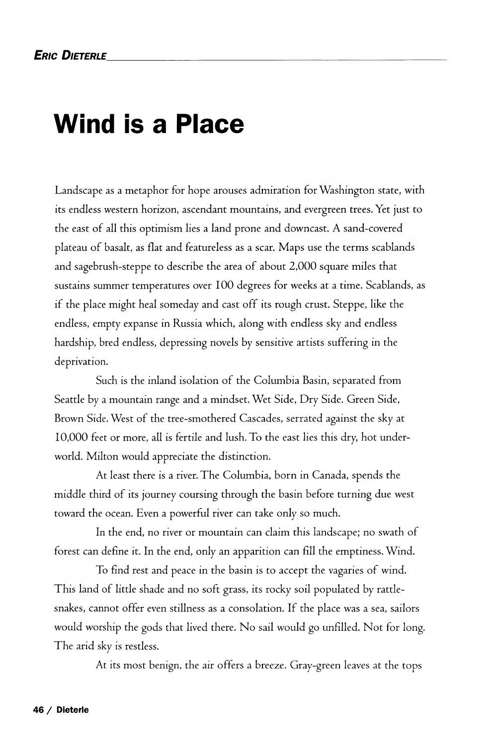## **Wind is a Place**

Landscape as a metaphor for hope arouses admiration for Washington state, with its endless western horizon, ascendant mountains, and evergreen trees. Yet just to the east of all this optimism lies a land prone and downcast. A sand-covered plateau of basalt, as flat and featureless as a scar. Maps use the terms scablands and sagebrush-steppe to describe the area of about 2,000 square miles that sustains summer temperatures over 100 degrees for weeks at a time. Scablands, as if the place might heal someday and cast off its rough crust. Steppe, like the endless, empty expanse in Russia which, along with endless sky and endless hardship, bred endless, depressing novels by sensitive artists suffering in the deprivation.

Such is the inland isolation of the Columbia Basin, separated from Seattle by a mountain range and a mindset. Wet Side, Dry Side. Green Side, Brown Side. West of the tree-smothered Cascades, serrated against the sky at 10,000 feet or more, all is fertile and lush. To the east lies this dry, hot underworld. Milton would appreciate the distinction.

At least there is a river. The Columbia, born in Canada, spends the middle third of its journey coursing through the basin before turning due west toward the ocean. Even a powerful river can take only so much.

In the end, no river or mountain can claim this landscape; no swath of forest can define it. In the end, only an apparition can fill the emptiness. Wind.

To find rest and peace in the basin is to accept the vagaries of wind. This land of little shade and no soft grass, its rocky soil populated by rattlesnakes, cannot offer even stillness as a consolation. If the place was a sea, sailors would worship the gods that lived there. No sail would go unfilled. Not for long. The arid sky is restless.

At its most benign, the air offers a breeze. Gray-green leaves at the tops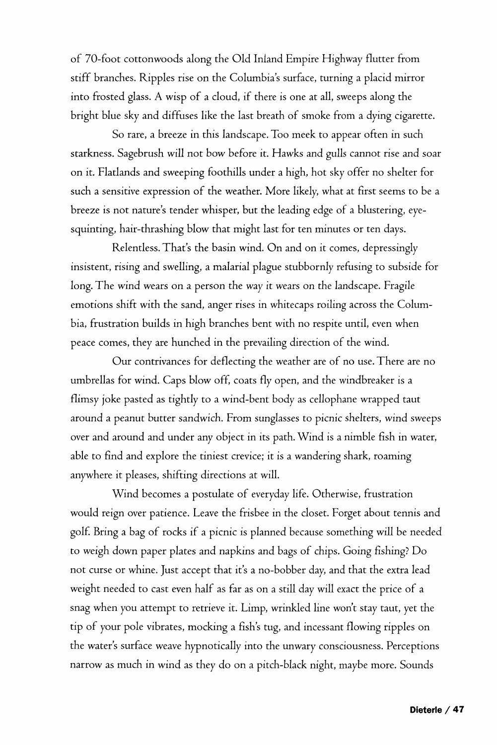of 70-foot cottonwoods along the Old Inland Empire Highway flutter from stiff branches. Ripples rise on the Columbia's surface, turning a placid mirror into frosted glass. A wisp of a cloud, if there is one at all, sweeps along the bright blue sky and diffuses like the last breath of smoke from a dying cigarette.

So rare, a breeze in this landscape. Too meek to appear often in such starkness. Sagebrush will not bow before it. Hawks and gulls cannot rise and soar on it. Flatlands and sweeping foothills under a high, hot sky offer no shelter for such a sensitive expression of the weather. More likely, what at first seems to be a breeze is not nature's tender whisper, but the leading edge of a blustering, eyesquinting, hair-thrashing blow that might last for ten minutes or ten days.

Relentless. That's the basin wind. On and on it comes, depressingly insistent, rising and swelling, a malarial plague stubbornly refusing to subside for long. The wind wears on a person the way it wears on the landscape. Fragile emotions shift with the sand, anger rises in whitecaps roiling across the Columbia, frustration builds in high branches bent with no respite until, even when peace comes, they are hunched in the prevailing direction of the wind.

Our contrivances for deflecting the weather are of no use. There are no umbrellas for wind. Caps blow off, coats fly open, and the windbreaker is a flimsy joke pasted as tightly to a wind-bent body as cellophane wrapped taut around a peanut butter sandwich. From sunglasses to picnic shelters, wind sweeps over and around and under any object in its path. Wind is a nimble fish in water, able to find and explore the tiniest crevice; it is a wandering shark, roaming anywhere it pleases, shifting directions at will.

Wind becomes a postulate of everyday life. Otherwise, frustration would reign over patience. Leave the frisbee in the closet. Forget about tennis and golf. Bring a bag of rocks if a picnic is planned because something will be needed to weigh down paper plates and napkins and bags of chips. Going fishing? Do not curse or whine. Just accept that it's a no-bobber day, and that the extra lead weight needed to cast even half as far as on a still day will exact the price of a snag when you attempt to retrieve it. Limp, wrinkled line won't stay taut, yet the tip of your pole vibrates, mocking a fish's tug, and incessant flowing ripples on the water's surface weave hypnotically into the unwary consciousness. Perceptions narrow as much in wind as they do on a pitch-black night, maybe more. Sounds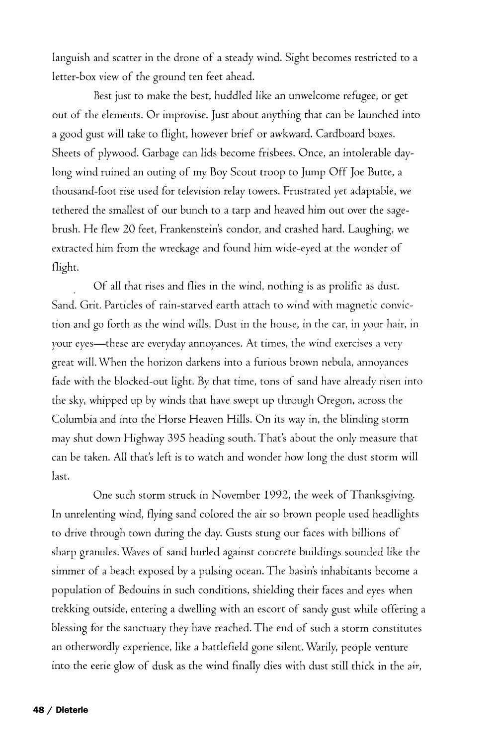languish and scatter in the drone of a steady wind. Sight becomes restricted to a letter-box view of the ground ten feet ahead.

Best just to make the best, huddled like an unwelcome refugee, or get out of the elements. Or improvise. Just about anything that can be launched into a good gust will take to flight, however brief or awkward. Cardboard boxes. Sheets of plywood. Garbage can lids become frisbees. Once, an intolerable daylong wind ruined an outing of my Boy Scout troop to Jump Off Joe Butte, a thousand-foot rise used for television relay towers. Frustrated yet adaptable, we tethered the smallest of our bunch to a tarp and heaved him out over the sagebrush. He flew 20 feet, Frankenstein's condor, and crashed hard. Laughing, we extracted him from the wreckage and found him wide-eyed at the wonder of flight.

Of all that rises and flies in the wind, nothing is as prolific as dust. Sand. Grit. Particles of rain-starved earth attach to wind with magnetic conviction and go forth as the wind wills. Dust in the house, in the car, in your hair, in your eyes—these are everyday annoyances. At times, the wind exercises a very great will. When the horizon darkens into a furious brown nebula, annoyances fade with the blocked-out light. By that time, tons of sand have already risen into the sky, whipped up by winds that have swept up through Oregon, across the Columbia and into the Horse Heaven Hills. On its way in, the blinding storm may shut down Highway 395 heading south. That's about the only measure that can be taken. All that's left is to watch and wonder how long the dust storm will last.

One such storm struck in November 1992, the week of Thanksgiving. In unrelenting wind, flying sand colored the air so brown people used headlights to drive through town during the day. Gusts stung our faces with billions of sharp granules. Waves of sand hurled against concrete buildings sounded like the simmer of a beach exposed by a pulsing ocean. The basin's inhabitants become a population of Bedouins in such conditions, shielding their faces and eyes when trekking outside, entering a dwelling with an escort of sandy gust while offering a blessing for the sanctuary they have reached. The end of such a storm constitutes an otherwordly experience, like a battlefield gone silent. Warily, people venture into the eerie glow of dusk as the wind finally dies with dust still thick in the air,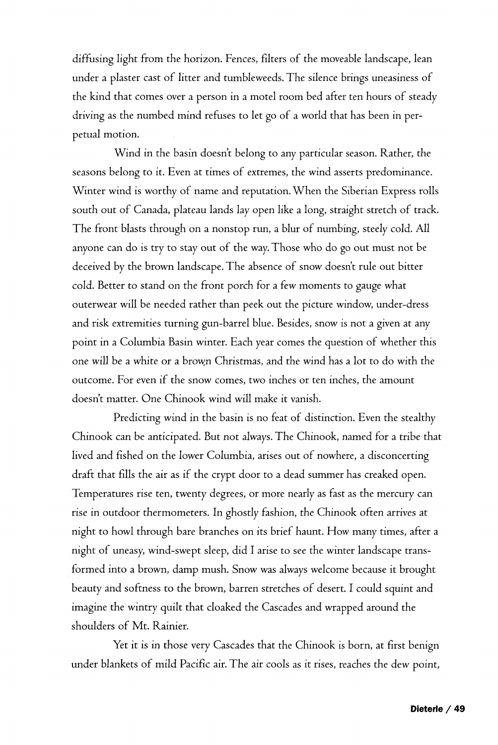diffusing light from the horizon. Fences, filters of the moveable landscape, lean under a plaster cast of litter and tumbleweeds. The silence brings uneasiness of the kind that comes over a person in a motel room bed after ten hours of steady driving as the numbed mind refuses to let go of a world that has been in perpetual motion.

Wind in the basin doesn't belong to any particular season. Rather, the seasons belong to it. Even at times of extremes, the wind asserts predominance. Winter wind is worthy of name and reputation. When the Siberian Express rolls south out of Canada, plateau lands lay open like a long, straight stretch of track. The front blasts through on a nonstop run, a blur of numbing, steely cold. All anyone can do is try to stay out of the way. Those who do go out must not be deceived by the brown landscape. The absence of snow doesn't rule out bitter cold. Better to stand on the front porch for a few moments to gauge what outerwear will be needed rather than peek out the picture window, under-dress and risk extremities turning gun-barrel blue. Besides, snow is not a given at any point in a Columbia Basin winter. Each year comes the question of whether this one will be a white or a brown Christmas, and the wind has a lot to do with the outcome. For even if the snow comes, two inches or ten inches, the amount doesn't matter. One Chinook wind will make it vanish.

Predicting wind in the basin is no feat of distinction. Even the stealthy Chinook can be anticipated. But not always. The Chinook, named for a tribe that lived and fished on the lower Columbia, arises out of nowhere, a disconcerting draft that fills the air as if the crypt door to a dead summer has creaked open. Temperatures rise ten, twenty degrees, or more nearly as fast as the mercury can rise in outdoor thermometers. In ghostly fashion, the Chinook often arrives at night to howl through bare branches on its brief haunt. How many times, after a night of uneasy, wind-swept sleep, did I arise to see the winter landscape transformed into a brown, damp mush. Snow was always welcome because it brought beauty and softness to the brown, barren stretches of desert. I could squint and imagine the wintry quilt that cloaked the Cascades and wrapped around the shoulders of Mt. Rainier.

Yet it is in those very Cascades that the Chinook is born, at first benign under blankets *of* mild Pacific air. The air *cools* as it rises, reaches the dew point,